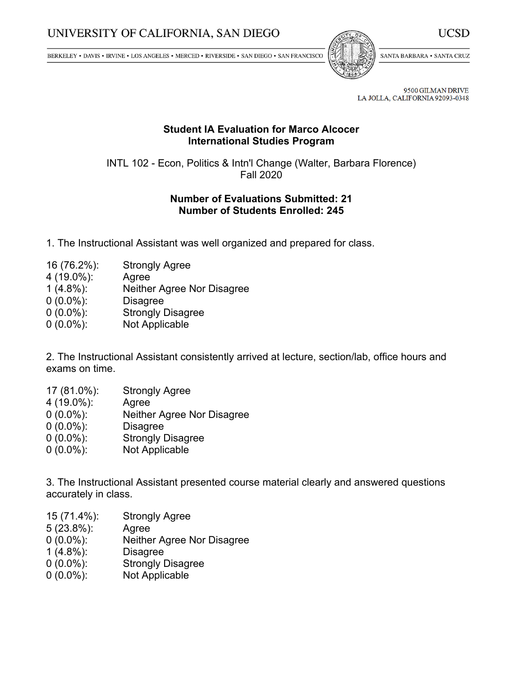BERKELEY • DAVIS • IRVINE • LOS ANGELES • MERCED • RIVERSIDE • SAN DIEGO • SAN FRANCISCO



SANTA BARBARA . SANTA CRUZ

9500 GILMAN DRIVE LA JOLLA, CALIFORNIA 92093-0348

## **Student IA Evaluation for Marco Alcocer International Studies Program**

INTL 102 - Econ, Politics & Intn'l Change (Walter, Barbara Florence) Fall 2020

## **Number of Evaluations Submitted: 21 Number of Students Enrolled: 245**

- 1. The Instructional Assistant was well organized and prepared for class.
- 16 (76.2%): Strongly Agree
- 4 (19.0%): Agree
- 1 (4.8%): Neither Agree Nor Disagree
- 0 (0.0%): Disagree
- 0 (0.0%): Strongly Disagree
- 0 (0.0%): Not Applicable

2. The Instructional Assistant consistently arrived at lecture, section/lab, office hours and exams on time.

- 17 (81.0%): Strongly Agree
- 4 (19.0%): Agree
- 0 (0.0%): Neither Agree Nor Disagree
- 0 (0.0%): Disagree
- 0 (0.0%): Strongly Disagree
- 0 (0.0%): Not Applicable

3. The Instructional Assistant presented course material clearly and answered questions accurately in class.

- 15 (71.4%): Strongly Agree
- 5 (23.8%): Agree
- 0 (0.0%): Neither Agree Nor Disagree
- 1 (4.8%): Disagree
- 0 (0.0%): Strongly Disagree
- 0 (0.0%): Not Applicable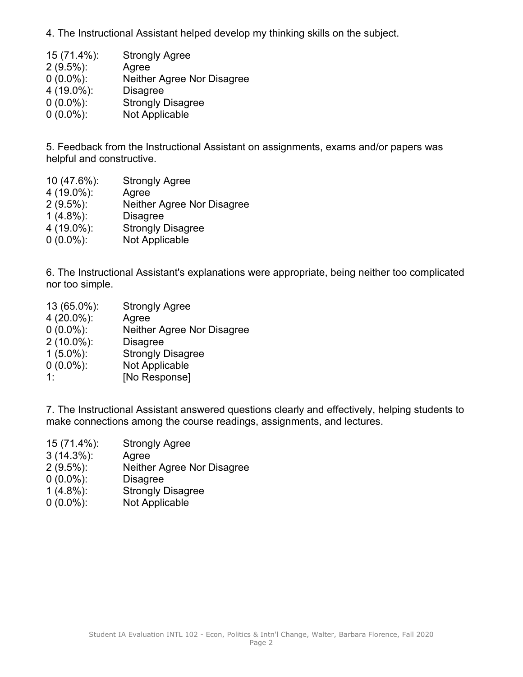4. The Instructional Assistant helped develop my thinking skills on the subject.

| <b>Strongly Agree</b>      |
|----------------------------|
| Agree                      |
| Neither Agree Nor Disagree |
| <b>Disagree</b>            |
| <b>Strongly Disagree</b>   |
| Not Applicable             |
|                            |

5. Feedback from the Instructional Assistant on assignments, exams and/or papers was helpful and constructive.

 (47.6%): Strongly Agree (19.0%): Agree (9.5%): Neither Agree Nor Disagree (4.8%): Disagree (19.0%): Strongly Disagree (0.0%): Not Applicable

6. The Instructional Assistant's explanations were appropriate, being neither too complicated nor too simple.

 (65.0%): Strongly Agree (20.0%): Agree (0.0%): Neither Agree Nor Disagree (10.0%): Disagree (5.0%): Strongly Disagree (0.0%): Not Applicable 1: [No Response]

7. The Instructional Assistant answered questions clearly and effectively, helping students to make connections among the course readings, assignments, and lectures.

- 15 (71.4%): Strongly Agree
- 3 (14.3%): Agree
- 2 (9.5%): Neither Agree Nor Disagree
- 0 (0.0%): Disagree
- 1 (4.8%): Strongly Disagree
- 0 (0.0%): Not Applicable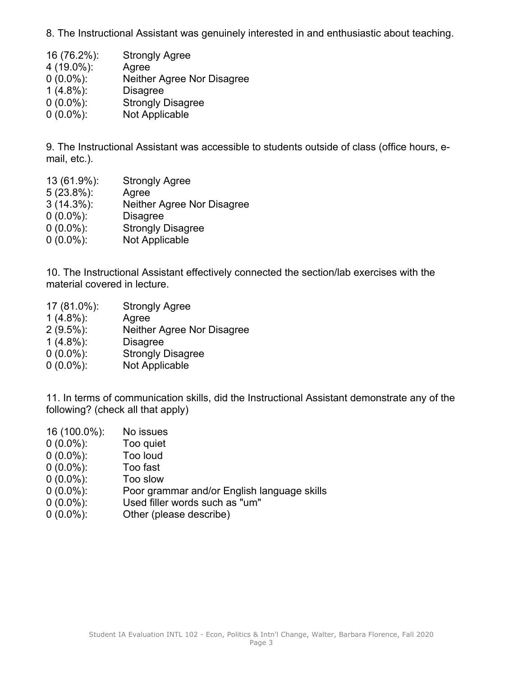8. The Instructional Assistant was genuinely interested in and enthusiastic about teaching.

 (76.2%): Strongly Agree (19.0%): Agree (0.0%): Neither Agree Nor Disagree (4.8%): Disagree (0.0%): Strongly Disagree (0.0%): Not Applicable

9. The Instructional Assistant was accessible to students outside of class (office hours, email, etc.).

 (61.9%): Strongly Agree (23.8%): Agree (14.3%): Neither Agree Nor Disagree (0.0%): Disagree (0.0%): Strongly Disagree (0.0%): Not Applicable

10. The Instructional Assistant effectively connected the section/lab exercises with the material covered in lecture.

 (81.0%): Strongly Agree (4.8%): Agree (9.5%): Neither Agree Nor Disagree (4.8%): Disagree (0.0%): Strongly Disagree (0.0%): Not Applicable

11. In terms of communication skills, did the Instructional Assistant demonstrate any of the following? (check all that apply)

 (100.0%): No issues (0.0%): Too quiet (0.0%): Too loud (0.0%): Too fast (0.0%): Too slow (0.0%): Poor grammar and/or English language skills (0.0%): Used filler words such as "um" (0.0%): Other (please describe)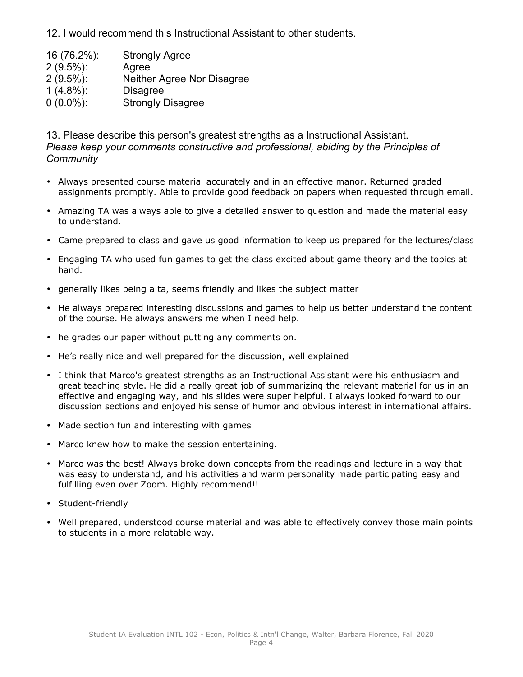12. I would recommend this Instructional Assistant to other students.

 (76.2%): Strongly Agree (9.5%): Agree (9.5%): Neither Agree Nor Disagree (4.8%): Disagree (0.0%): Strongly Disagree

13. Please describe this person's greatest strengths as <sup>a</sup> Instructional Assistant. *Please keep your comments constructive and professional, abiding by the Principles of Community*

- Always presented course material accurately and in an effective manor. Returned graded assignments promptly. Able to provide good feedback on papers when requested through email.
- Amazing TA was always able to give <sup>a</sup> detailed answer to question and made the material easy to understand.
- Came prepared to class and gave us good information to keep us prepared for the lectures/class
- Engaging TA who used fun games to get the class excited about game theory and the topics at hand.
- generally likes being <sup>a</sup> ta, seems friendly and likes the subject matter
- He always prepared interesting discussions and games to help us better understand the content of the course. He always answers me when I need help.
- he grades our paper without putting any comments on.
- He's really nice and well prepared for the discussion, well explained
- I think that Marco's greatest strengths as an Instructional Assistant were his enthusiasm and great teaching style. He did <sup>a</sup> really great job of summarizing the relevant material for us in an effective and engaging way, and his slides were super helpful. I always looked forward to our discussion sections and enjoyed his sense of humor and obvious interest in international affairs.
- Made section fun and interesting with games
- •Marco knew how to make the session entertaining.
- Marco was the best! Always broke down concepts from the readings and lecture in <sup>a</sup> way that was easy to understand, and his activities and warm personality made participating easy and fulfilling even over Zoom. Highly recommend!!
- Student-friendly
- Well prepared, understood course material and was able to effectively convey those main points to students in <sup>a</sup> more relatable way.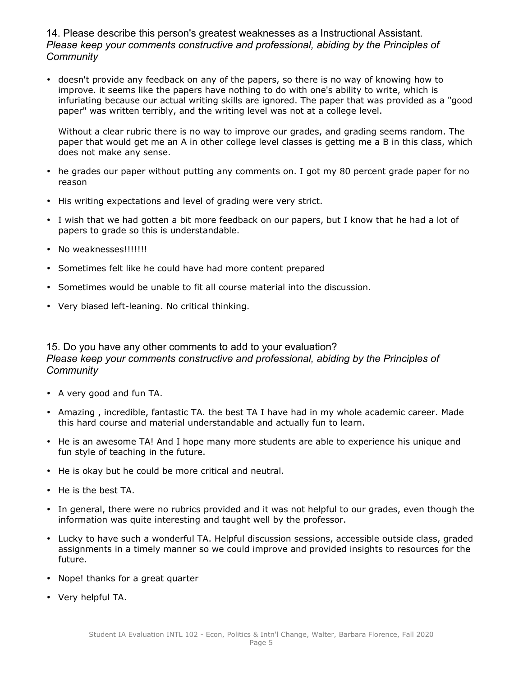14. Please describe this person's greatest weaknesses as <sup>a</sup> Instructional Assistant. *Please keep your comments constructive and professional, abiding by the Principles of Community*

• doesn't provide any feedback on any of the papers, so there is no way of knowing how to improve. it seems like the papers have nothing to do with one's ability to write, which is infuriating because our actual writing skills are ignored. The paper that was provided as <sup>a</sup> "good paper" was written terribly, and the writing level was not at <sup>a</sup> college level.

Without <sup>a</sup> clear rubric there is no way to improve our grades, and grading seems random. The paper that would get me an A in other college level classes is getting me <sup>a</sup> B in this class, which does not make any sense.

- he grades our paper without putting any comments on. I got my 80 percent grade paper for no reason
- His writing expectations and level of grading were very strict.
- I wish that we had gotten <sup>a</sup> bit more feedback on our papers, but I know that he had <sup>a</sup> lot of papers to grade so this is understandable.
- No weaknesses!!!!!!!!
- Sometimes felt like he could have had more content prepared
- Sometimes would be unable to fit all course material into the discussion.
- Very biased left-leaning. No critical thinking.

## 15. Do you have any other comments to add to your evaluation? *Please keep your comments constructive and professional, abiding by the Principles of Community*

- A very good and fun TA.
- Amazing , incredible, fantastic TA. the best TA I have had in my whole academic career. Made this hard course and material understandable and actually fun to learn.
- He is an awesome TA! And I hope many more students are able to experience his unique and fun style of teaching in the future.
- He is okay but he could be more critical and neutral.
- He is the best TA.
- In general, there were no rubrics provided and it was not helpful to our grades, even though the information was quite interesting and taught well by the professor.
- Lucky to have such <sup>a</sup> wonderful TA. Helpful discussion sessions, accessible outside class, graded assignments in <sup>a</sup> timely manner so we could improve and provided insights to resources for the future.
- Nope! thanks for <sup>a</sup> great quarter
- Very helpful TA.